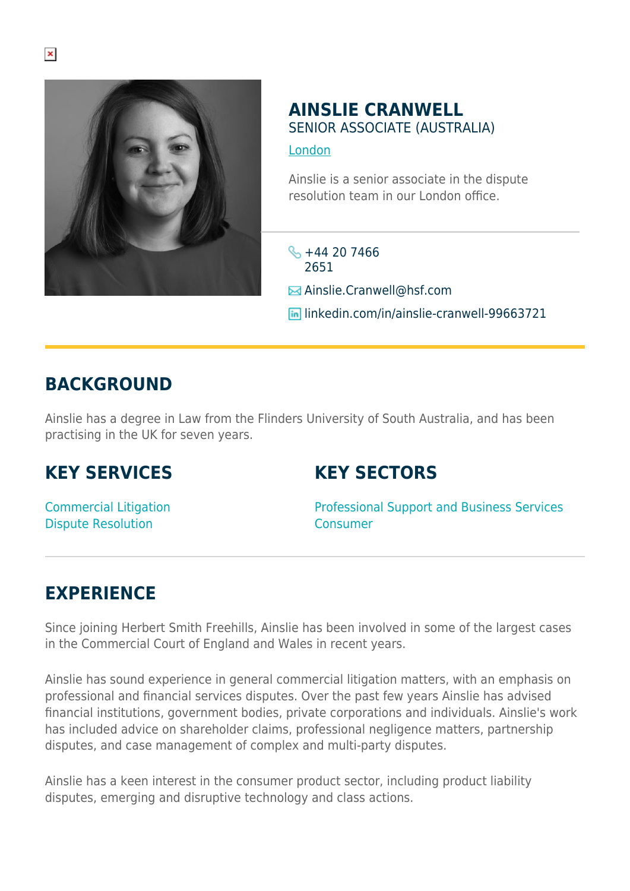

#### **AINSLIE CRANWELL** SENIOR ASSOCIATE (AUSTRALIA)

[London](https://www.herbertsmithfreehills.com/where-we-work/london)

Ainslie is a senior associate in the dispute resolution team in our London office.

- $\frac{1}{2}$  +44 20 7466 2651
- **E** Ainslie.Cranwell@hsf.com
- **In linkedin.com/in/ainslie-cranwell-99663721**

## **BACKGROUND**

Ainslie has a degree in Law from the Flinders University of South Australia, and has been practising in the UK for seven years.

### **KEY SERVICES**

### **KEY SECTORS**

Commercial Litigation Dispute Resolution

Professional Support and Business Services Consumer

# **EXPERIENCE**

Since joining Herbert Smith Freehills, Ainslie has been involved in some of the largest cases in the Commercial Court of England and Wales in recent years.

Ainslie has sound experience in general commercial litigation matters, with an emphasis on professional and financial services disputes. Over the past few years Ainslie has advised financial institutions, government bodies, private corporations and individuals. Ainslie's work has included advice on shareholder claims, professional negligence matters, partnership disputes, and case management of complex and multi-party disputes.

Ainslie has a keen interest in the consumer product sector, including product liability disputes, emerging and disruptive technology and class actions.